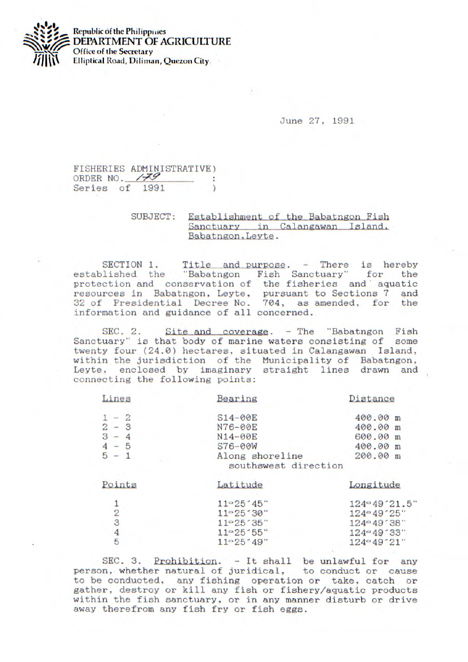

**Republic of the Philippines DEPARTMENT OF AGRICULTURE**  Office of the **Secretary J!j I Elliptical Road, Diliman, Quezon City** 

June 27, 1991

## FISHERIES ADMINISTRATIVE) ORDER NO. **/79** Series of 1991

## SUBJECT: Establishment of the Babatngon Fish<br>Sanctuary in Calangawan Island, Babatngon, Leyte.

SECTION 1. Title and purpose. - There is hereby<br>lished the "Babatngon Fish Sanctuary" for the established the "Babatngon Fish Sanctuary" protection and conservation of the fisheries and aquatic resources in Babatngon, Leyte, pursuant to Sections 7 and 32 of Presidential Decree No. 704, as amended, for the *information* and guidance of all concerned.

• SEC. 2. Site and coverage. - The "Babatngon Fish Sanctuary" is that body of marine waters consisting of some twenty four (24.0) hectares, situated in Calangawan Island, within the jurisdiction of the Municipality of Babatngon, Leyte, enclosed by imaginary straight lines drawn and connecting the following points:

| Lines         | Bearing                                 | Distance     |
|---------------|-----------------------------------------|--------------|
| $1 - 2$       | $S14-00E$                               | 400.00 m     |
| $2 - 3$       | N76-00E                                 | 400.00 m     |
| $3 - 4$       | N14-00E                                 | 600.00 m     |
| $4 - 5$       | $S76 - 00W$                             | 400.00 m     |
| $5 - 1$       | Along shoreline<br>southswest direction | 200.00 m     |
| Points        | Latitude                                | Longitude    |
|               | 11°25'45"                               | 124°49'21.5" |
| $\frac{1}{2}$ | 11°25'30"                               | 124°49'25"   |
|               | 11°25'35"                               | 124°49'38"   |
| $\frac{4}{5}$ | 11°25'55"                               | 124°49'33"   |
|               | 11°25'49"                               | 124°49'21"   |
|               |                                         |              |

SEC. 3. Prohibition. - It shall be unlawful for any person, whether natural of juridical, to conduct or cause to he conducted, any fishing operation or take, catch or gather, destroy or kill any fish or fishery/aquatic products within the fish sanctuary, or in any manner disturb or drive away therefrom any fish fry or fish eggs.